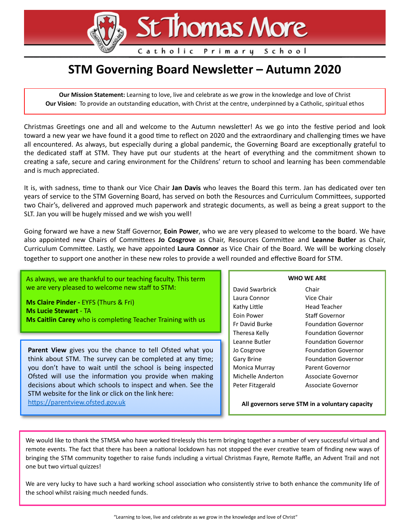# St Thomas More

Catholic Primary School

# **STM Governing Board Newsletter - Autumn 2020**

**Our Mission Statement:** Learning to love, live and celebrate as we grow in the knowledge and love of Christ **Our Vision:** To provide an outstanding education, with Christ at the centre, underpinned by a Catholic, spiritual ethos

Christmas Greetings one and all and welcome to the Autumn newsletter! As we go into the festive period and look toward a new year we have found it a good time to reflect on 2020 and the extraordinary and challenging times we have all encountered. As always, but especially during a global pandemic, the Governing Board are exceptionally grateful to the dedicated staff at STM. They have put our students at the heart of everything and the commitment shown to creating a safe, secure and caring environment for the Childrens' return to school and learning has been commendable and is much appreciated.

It is, with sadness, time to thank our Vice Chair Jan Davis who leaves the Board this term. Jan has dedicated over ten years of service to the STM Governing Board, has served on both the Resources and Curriculum Committees, supported two Chair's, delivered and approved much paperwork and strategic documents, as well as being a great support to the SLT. Jan you will be hugely missed and we wish you well!

Going forward we have a new Staff Governor, **Eoin Power**, who we are very pleased to welcome to the board. We have also appointed new Chairs of Committees **Jo Cosgrove** as Chair, Resources Committee and Leanne Butler as Chair, Curriculum Committee. Lastly, we have appointed Laura Connor as Vice Chair of the Board. We will be working closely together to support one another in these new roles to provide a well rounded and effective Board for STM.

As always, we are thankful to our teaching faculty. This term we are very pleased to welcome new staff to STM:

**Ms Claire Pinder -** EYFS (Thurs & Fri) **Ms Lucie Stewart** - TA **Ms Caitlin Carey** who is completing Teacher Training with us

Parent View gives you the chance to tell Ofsted what you think about STM. The survey can be completed at any time; you don't have to wait until the school is being inspected Ofsted will use the information you provide when making decisions about which schools to inspect and when. See the STM website for the link or click on the link here: https://parentview.ofsted.gov.uk

| <b>WHO WE ARE</b> |  |
|-------------------|--|

David Swarbrick Chair Laura Connor Vice Chair Kathy Little **Head Teacher** Eoin Power Staff Governor Monica Murray Parent Governor Michelle Anderton Associate Governor

Fr David Burke **Foundation Governor** Theresa Kelly **Foundation Governor** Leanne Butler Foundation Governor Jo Cosgrove Foundation Governor Gary Brine **Foundation Governor** Peter Fitzgerald Associate Governor

**All governors serve STM in a voluntary capacity**

We would like to thank the STMSA who have worked tirelessly this term bringing together a number of very successful virtual and remote events. The fact that there has been a national lockdown has not stopped the ever creative team of finding new ways of bringing the STM community together to raise funds including a virtual Christmas Fayre, Remote Raffle, an Advent Trail and not one but two virtual quizzes!

We are very lucky to have such a hard working school association who consistently strive to both enhance the community life of the school whilst raising much needed funds.

"Learning to love, live and celebrate as we grow in the knowledge and love of Christ"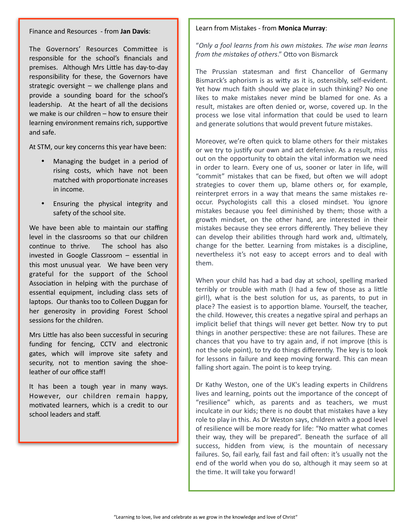Finance and Resources - from **Jan Davis**:

The Governors' Resources Committee is responsible for the school's financials and premises. Although Mrs Little has day-to-day responsibility for these, the Governors have strategic oversight – we challenge plans and provide a sounding board for the school's leadership. At the heart of all the decisions we make is our children – how to ensure their learning environment remains rich, supportive and safe.

At STM, our key concerns this year have been:

- Managing the budget in a period of rising costs, which have not been matched with proportionate increases in income.
- Ensuring the physical integrity and safety of the school site.

We have been able to maintain our staffing level in the classrooms so that our children continue to thrive. The school has also invested in Google Classroom  $-$  essential in this most unusual year. We have been very grateful for the support of the School Association in helping with the purchase of essential equipment, including class sets of laptops. Our thanks too to Colleen Duggan for her generosity in providing Forest School sessions for the children.

Mrs Little has also been successful in securing funding for fencing, CCTV and electronic gates, which will improve site safety and security, not to mention saving the shoeleather of our office staff!

It has been a tough year in many ways. However, our children remain happy, motivated learners, which is a credit to our school leaders and staff.

#### Learn from Mistakes - from **Monica Murray**:

"*Only a fool learns from his own mistakes. The wise man learns from the mistakes of others."* Otto von Bismarck

The Prussian statesman and first Chancellor of Germany Bismarck's aphorism is as witty as it is, ostensibly, self-evident. Yet how much faith should we place in such thinking? No one likes to make mistakes never mind be blamed for one. As a result, mistakes are often denied or, worse, covered up. In the process we lose vital information that could be used to learn and generate solutions that would prevent future mistakes.

Moreover, we're often quick to blame others for their mistakes or we try to justify our own and act defensive. As a result, miss out on the opportunity to obtain the vital information we need in order to learn. Every one of us, sooner or later in life, will "commit" mistakes that can be fixed, but often we will adopt strategies to cover them up, blame others or, for example, reinterpret errors in a way that means the same mistakes reoccur. Psychologists call this a closed mindset. You ignore mistakes because you feel diminished by them; those with a growth mindset, on the other hand, are interested in their mistakes because they see errors differently. They believe they can develop their abilities through hard work and, ultimately, change for the better. Learning from mistakes is a discipline, nevertheless it's not easy to accept errors and to deal with them.

When your child has had a bad day at school, spelling marked terribly or trouble with math (I had a few of those as a little girl!), what is the best solution for us, as parents, to put in place? The easiest is to apportion blame. Yourself, the teacher, the child. However, this creates a negative spiral and perhaps an implicit belief that things will never get better. Now try to put things in another perspective: these are not failures. These are chances that you have to try again and, if not improve (this is not the sole point), to try do things differently. The key is to look for lessons in failure and keep moving forward. This can mean falling short again. The point is to keep trying.

Dr Kathy Weston, one of the UK's leading experts in Childrens lives and learning, points out the importance of the concept of "resilience" which, as parents and as teachers, we must inculcate in our kids; there is no doubt that mistakes have a key role to play in this. As Dr Weston says, children with a good level of resilience will be more ready for life: "No matter what comes their way, they will be prepared". Beneath the surface of all success, hidden from view, is the mountain of necessary failures. So, fail early, fail fast and fail often: it's usually not the end of the world when you do so, although it may seem so at the time. It will take you forward!